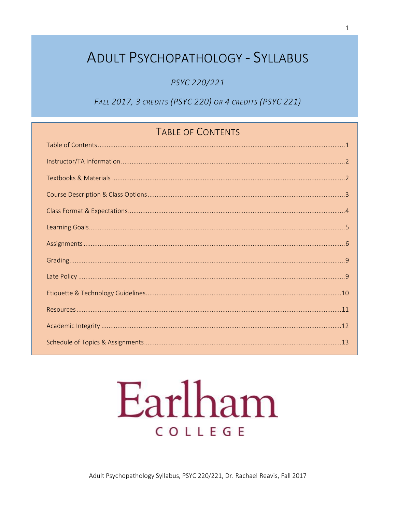## **ADULT PSYCHOPATHOLOGY - SYLLABUS**

PSYC 220/221

FALL 2017, 3 CREDITS (PSYC 220) OR 4 CREDITS (PSYC 221)

## TABLE OF CONTENTS

# Earlham COLLEGE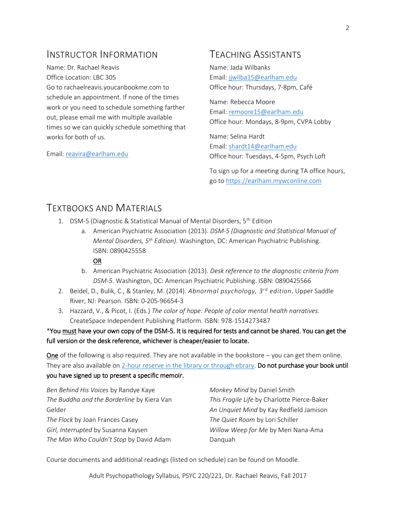## INSTRUCTOR INFORMATION

Name: Dr. Rachael Reavis Office Location: LBC 305 Go to rachaelreavis.youcanbookme.com to schedule an appointment. If none of the times work or you need to schedule something farther out, please email me with multiple available times so we can quickly schedule something that works for both of us.

Email[: reavira@earlham.edu](mailto:reavira@earlham.edu)

## TEACHING ASSISTANTS

Name: Jada Wilbanks Email[: jjwilba15@earlham.edu](mailto:mhut13@earlham.edu) Office hour: Thursdays, 7-8pm, Café

Name: Rebecca Moore Email[: remoore15@earlham.](mailto:lkhali14@earlham.edu)edu Office hour: Mondays, 8-9pm, CVPA Lobby

Name: Selina Hardt Email[: shardt14@earlham.edu](mailto:shardt14@earlham.edu) Office hour: Tuesdays, 4-5pm, Psych Loft

To sign up for a meeting during TA office hours, go to [https://earlham.mywconline.com](https://earlham.mywconline.com/)

### TEXTBOOKS AND MATERIALS

- 1. DSM-5 (Diagnostic & Statistical Manual of Mental Disorders, 5<sup>th</sup> Edition
	- a. American Psychiatric Association (2013). *DSM-5 (Diagnostic and Statistical Manual of Mental Disorders, 5th Edition)*. Washington, DC: American Psychiatric Publishing. ISBN: 0890425558

#### OR

- b. American Psychiatric Association (2013). *Desk reference to the diagnostic criteria from DSM-5*. Washington, DC: American Psychiatric Publishing. ISBN: 0890425566
- 2. Beidel, D., Bulik, C., & Stanley, M. (2014). *Abnormal psychology, 3rd edition*. Upper Saddle River, NJ: Pearson. ISBN: 0-205-96654-3
- 3. Hazzard, V., & Picot, I. (Eds.) *The color of hope: People of color mental health narratives.* CreateSpace Independent Publishing Platform. ISBN: 978-1514273487

#### \*You must have your own copy of the DSM-5. It is required for tests and cannot be shared. You can get the full version or the desk reference, whichever is cheaper/easier to locate.

One of the following is also required. They are not available in the bookstore – you can get them online. They are also available on [2-hour reserve in the library or through ebrary.](http://earlham.worldcat.org/coursereserves/course/fetch/3543566) Do not purchase your book until you have signed up to present a specific memoir.

| Ben Behind His Voices by Randye Kaye       | Monkey Mind by Daniel Smith                 |
|--------------------------------------------|---------------------------------------------|
| The Buddha and the Borderline by Kiera Van | This Fragile Life by Charlotte Pierce-Baker |
| Gelder                                     | An Unquiet Mind by Kay Redfield Jamison     |
| The Flock by Joan Frances Casey            | The Quiet Room by Lori Schiller             |
| Girl, Interrupted by Susanna Kaysen        | Willow Weep for Me by Meri Nana-Ama         |
| The Man Who Couldn't Stop by David Adam    | Danguah                                     |

Course documents and additional readings (listed on schedule) can be found on Moodle.

Adult Psychopathology Syllabus, PSYC 220/221, Dr. Rachael Reavis, Fall 2017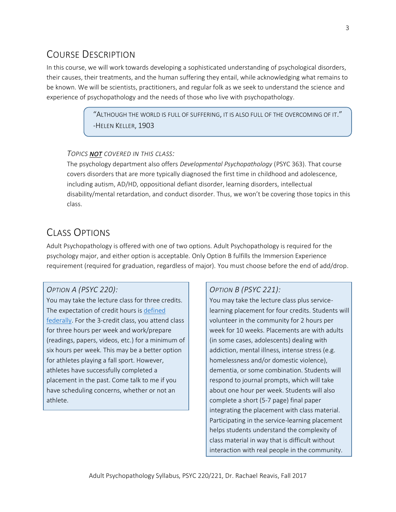## COURSE DESCRIPTION

In this course, we will work towards developing a sophisticated understanding of psychological disorders, their causes, their treatments, and the human suffering they entail, while acknowledging what remains to be known. We will be scientists, practitioners, and regular folk as we seek to understand the science and experience of psychopathology and the needs of those who live with psychopathology.

> "ALTHOUGH THE WORLD IS FULL OF SUFFERING, IT IS ALSO FULL OF THE OVERCOMING OF IT." -HELEN KELLER, 1903

#### *TOPICS NOT COVERED IN THIS CLASS:*

The psychology department also offers *Developmental Psychopathology* (PSYC 363). That course covers disorders that are more typically diagnosed the first time in childhood and adolescence, including autism, AD/HD, oppositional defiant disorder, learning disorders, intellectual disability/mental retardation, and conduct disorder. Thus, we won't be covering those topics in this class.

## CLASS OPTIONS

Adult Psychopathology is offered with one of two options. Adult Psychopathology is required for the psychology major, and either option is acceptable. Only Option B fulfills the Immersion Experience requirement (required for graduation, regardless of major). You must choose before the end of add/drop.

#### *OPTION A (PSYC 220):*

You may take the lecture class for three credits. The expectation of credit hours is [defined](http://www.ecfr.gov/cgi-bin/text-idx?rgn=div8&node=34:3.1.3.1.1.1.23.2)  [federally.](http://www.ecfr.gov/cgi-bin/text-idx?rgn=div8&node=34:3.1.3.1.1.1.23.2) For the 3-credit class, you attend class for three hours per week and work/prepare (readings, papers, videos, etc.) for a minimum of six hours per week. This may be a better option for athletes playing a fall sport. However, athletes have successfully completed a placement in the past. Come talk to me if you have scheduling concerns, whether or not an athlete.

#### *OPTION B (PSYC 221):*

You may take the lecture class plus servicelearning placement for four credits. Students will volunteer in the community for 2 hours per week for 10 weeks. Placements are with adults (in some cases, adolescents) dealing with addiction, mental illness, intense stress (e.g. homelessness and/or domestic violence), dementia, or some combination. Students will respond to journal prompts, which will take about one hour per week. Students will also complete a short (5-7 page) final paper integrating the placement with class material. Participating in the service-learning placement helps students understand the complexity of class material in way that is difficult without interaction with real people in the community.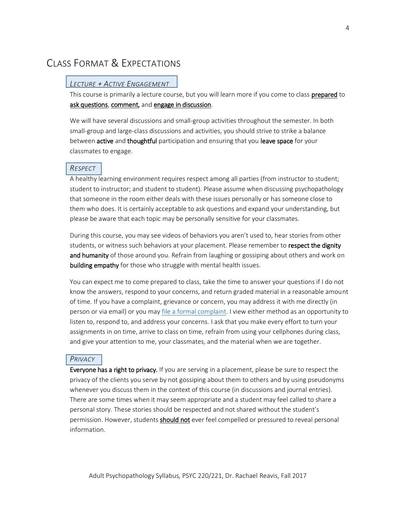## CLASS FORMAT & EXPECTATIONS

#### *LECTURE + ACTIVE ENGAGEMENT*

This course is primarily a lecture course, but you will learn more if you come to class prepared to ask questions, comment, and engage in discussion.

We will have several discussions and small-group activities throughout the semester. In both small-group and large-class discussions and activities, you should strive to strike a balance between active and thoughtful participation and ensuring that you leave space for your classmates to engage.

#### *RESPECT*

A healthy learning environment requires respect among all parties (from instructor to student; student to instructor; and student to student). Please assume when discussing psychopathology that someone in the room either deals with these issues personally or has someone close to them who does. It is certainly acceptable to ask questions and expand your understanding, but please be aware that each topic may be personally sensitive for your classmates.

During this course, you may see videos of behaviors you aren't used to, hear stories from other students, or witness such behaviors at your placement. Please remember to respect the dignity and humanity of those around you. Refrain from laughing or gossiping about others and work on building empathy for those who struggle with mental health issues.

You can expect me to come prepared to class, take the time to answer your questions if I do not know the answers, respond to your concerns, and return graded material in a reasonable amount of time. If you have a complaint, grievance or concern, you may address it with me directly (in person or via email) or you may [file a formal complaint.](http://www.earlham.edu/policies-and-handbooks/general/student-consumer-complaint-process/) I view either method as an opportunity to listen to, respond to, and address your concerns. I ask that you make every effort to turn your assignments in on time, arrive to class on time, refrain from using your cellphones during class, and give your attention to me, your classmates, and the material when we are together.

#### *PRIVACY*

Everyone has a right to privacy. If you are serving in a placement, please be sure to respect the privacy of the clients you serve by not gossiping about them to others and by using pseudonyms whenever you discuss them in the context of this course (in discussions and journal entries). There are some times when it may seem appropriate and a student may feel called to share a personal story. These stories should be respected and not shared without the student's permission. However, students should not ever feel compelled or pressured to reveal personal information.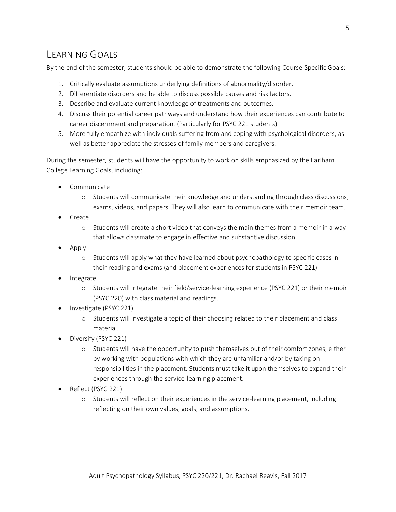## LEARNING GOALS

By the end of the semester, students should be able to demonstrate the following Course-Specific Goals:

- 1. Critically evaluate assumptions underlying definitions of abnormality/disorder.
- 2. Differentiate disorders and be able to discuss possible causes and risk factors.
- 3. Describe and evaluate current knowledge of treatments and outcomes.
- 4. Discuss their potential career pathways and understand how their experiences can contribute to career discernment and preparation. (Particularly for PSYC 221 students)
- 5. More fully empathize with individuals suffering from and coping with psychological disorders, as well as better appreciate the stresses of family members and caregivers.

During the semester, students will have the opportunity to work on skills emphasized by the Earlham College Learning Goals, including:

- Communicate
	- o Students will communicate their knowledge and understanding through class discussions, exams, videos, and papers. They will also learn to communicate with their memoir team.
- Create
	- o Students will create a short video that conveys the main themes from a memoir in a way that allows classmate to engage in effective and substantive discussion.
- Apply
	- o Students will apply what they have learned about psychopathology to specific cases in their reading and exams (and placement experiences for students in PSYC 221)
- **Integrate** 
	- o Students will integrate their field/service-learning experience (PSYC 221) or their memoir (PSYC 220) with class material and readings.
- Investigate (PSYC 221)
	- o Students will investigate a topic of their choosing related to their placement and class material.
- Diversify (PSYC 221)
	- o Students will have the opportunity to push themselves out of their comfort zones, either by working with populations with which they are unfamiliar and/or by taking on responsibilities in the placement. Students must take it upon themselves to expand their experiences through the service-learning placement.
- Reflect (PSYC 221)
	- o Students will reflect on their experiences in the service-learning placement, including reflecting on their own values, goals, and assumptions.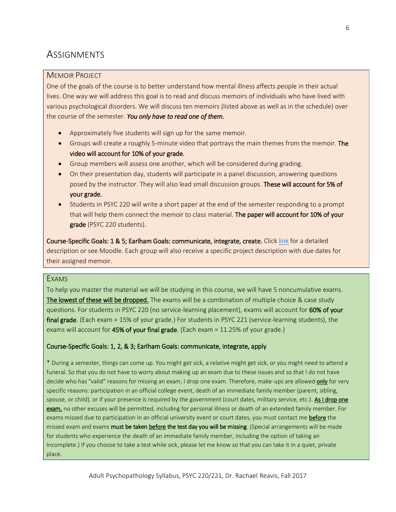## **ASSIGNMENTS**

#### MEMOIR PROJECT

One of the goals of the course is to better understand how mental illness affects people in their actual lives. One way we will address this goal is to read and discuss memoirs of individuals who have lived with various psychological disorders. We will discuss ten memoirs (listed above as well as in the schedule) over the course of the semester. *You only have to read one of them.*

- Approximately five students will sign up for the same memoir.
- Groups will create a roughly 5-minute video that portrays the main themes from the memoir. The video will account for 10% of your grade.
- Group members will assess one another, which will be considered during grading.
- On their presentation day, students will participate in a panel discussion, answering questions posed by the instructor. They will also lead small discussion groups. These will account for 5% of your grade.
- Students in PSYC 220 will write a short paper at the end of the semester responding to a prompt that will help them connect the memoir to class material. The paper will account for 10% of your grade (PSYC 220 students).

Course-Specific Goals: 1 & 5; Earlham Goals: communicate, integrate, create. Click [link](https://www.dropbox.com/s/w8bz51eca0ifsrh/01%20-%20General%20Memoir%20Project%20Guidelines%20-%20COPY.docx?dl=0) for a detailed description or see Moodle. Each group will also receive a specific project description with due dates for their assigned memoir.

#### EXAMS

To help you master the material we will be studying in this course, we will have 5 noncumulative exams. The lowest of these will be dropped. The exams will be a combination of multiple choice & case study questions. For students in PSYC 220 (no service-learning placement), exams will account for 60% of your final grade. (Each exam = 15% of your grade.) For students in PSYC 221 (service-learning students), the exams will account for  $45%$  of your final grade. (Each exam = 11.25% of your grade.)

#### Course-Specific Goals: 1, 2, & 3; Earlham Goals: communicate, integrate, apply

\* During a semester, things can come up. You might get sick, a relative might get sick, or you might need to attend a funeral. So that you do not have to worry about making up an exam due to these issues and so that I do not have decide who has "valid" reasons for missing an exam, I drop one exam. Therefore, make-ups are allowed only for very specific reasons: participation in an official college event, death of an immediate family member (parent, sibling, spouse, or child), or if your presence is required by the government (court dates, military service, etc.). As I drop one exam, no other excuses will be permitted, including for personal illness or death of an extended family member. For exams missed due to participation in an official university event or court dates, you must contact me before the missed exam and exams must be taken before the test day you will be missing. (Special arrangements will be made for students who experience the death of an immediate family member, including the option of taking an Incomplete.) If you choose to take a test while sick, please let me know so that you can take it in a quiet, private place.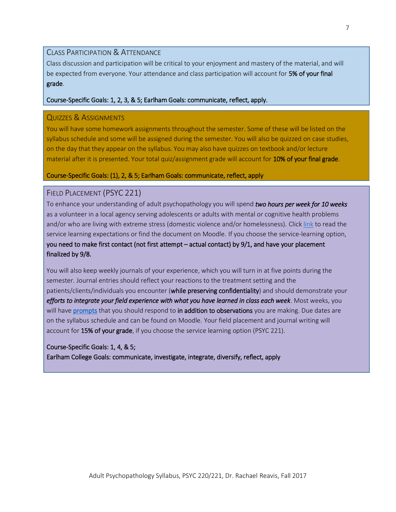#### CLASS PARTICIPATION & ATTENDANCE

Class discussion and participation will be critical to your enjoyment and mastery of the material, and will be expected from everyone. Your attendance and class participation will account for 5% of your final grade.

#### Course-Specific Goals: 1, 2, 3, & 5; Earlham Goals: communicate, reflect, apply.

#### QUIZZES & ASSIGNMENTS

You will have some homework assignments throughout the semester. Some of these will be listed on the syllabus schedule and some will be assigned during the semester. You will also be quizzed on case studies, on the day that they appear on the syllabus. You may also have quizzes on textbook and/or lecture material after it is presented. Your total quiz/assignment grade will account for 10% of your final grade.

#### Course-Specific Goals: (1), 2, & 5; Earlham Goals: communicate, reflect, apply

#### FIELD PLACEMENT (PSYC 221)

To enhance your understanding of adult psychopathology you will spend *two hours per week for 10 weeks* as a volunteer in a local agency serving adolescents or adults with mental or cognitive health problems and/or who are living with extreme stress (domestic violence and/or homelessness). Click [link](https://www.dropbox.com/s/7dow3v3r9ntv8jt/Service%20Learning%20Expectations%20-%20Adult%20Psychopathology%20-%20Fall%202017%20-%20COPY.pdf?dl=0) to read the service learning expectations or find the document on Moodle. If you choose the service-learning option, you need to make first contact (not first attempt – actual contact) by 9/1, and have your placement finalized by 9/8.

You will also keep weekly journals of your experience, which you will turn in at five points during the semester. Journal entries should reflect your reactions to the treatment setting and the patients/clients/individuals you encounter (while preserving confidentiality) and should demonstrate your *efforts to integrate your field experience with what you have learned in class each week*. Most weeks, you will have [prompts](https://www.dropbox.com/s/r078k3awrxh4f7x/Journal%20Entry%20Prompts%20-%202017%20-%20COPY.docx?dl=0) that you should respond to in addition to observations you are making. Due dates are on the syllabus schedule and can be found on Moodle. Your field placement and journal writing will account for 15% of your grade, if you choose the service learning option (PSYC 221).

#### Course-Specific Goals: 1, 4, & 5;

Earlham College Goals: communicate, investigate, integrate, diversify, reflect, apply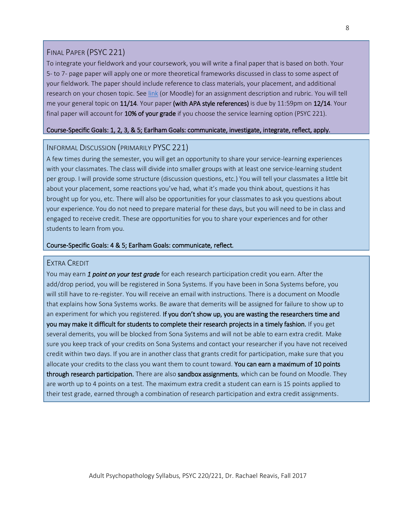#### FINAL PAPER (PSYC 221)

To integrate your fieldwork and your coursework, you will write a final paper that is based on both. Your 5- to 7- page paper will apply one or more theoretical frameworks discussed in class to some aspect of your fieldwork. The paper should include reference to class materials, your placement, and additional research on your chosen topic. See [link](https://www.dropbox.com/s/zpcet51p7exvvmg/Final%20Paper%20Guidelines%20%26%20Rubric%20-%20COPY.docx?dl=0) (or Moodle) for an assignment description and rubric. You will tell me your general topic on 11/14. Your paper (with APA style references) is due by 11:59pm on 12/14. Your final paper will account for 10% of your grade if you choose the service learning option (PSYC 221).

#### Course-Specific Goals: 1, 2, 3, & 5; Earlham Goals: communicate, investigate, integrate, reflect, apply.

#### INFORMAL DISCUSSION (PRIMARILY PYSC 221)

A few times during the semester, you will get an opportunity to share your service-learning experiences with your classmates. The class will divide into smaller groups with at least one service-learning student per group. I will provide some structure (discussion questions, etc.) You will tell your classmates a little bit about your placement, some reactions you've had, what it's made you think about, questions it has brought up for you, etc. There will also be opportunities for your classmates to ask you questions about your experience. You do not need to prepare material for these days, but you will need to be in class and engaged to receive credit. These are opportunities for you to share your experiences and for other students to learn from you.

#### Course-Specific Goals: 4 & 5; Earlham Goals: communicate, reflect.

#### EXTRA CREDIT

You may earn *1 point on your test grade* for each research participation credit you earn. After the add/drop period, you will be registered in Sona Systems. If you have been in Sona Systems before, you will still have to re-register. You will receive an email with instructions. There is a document on Moodle that explains how Sona Systems works. Be aware that demerits will be assigned for failure to show up to an experiment for which you registered. If you don't show up, you are wasting the researchers time and you may make it difficult for students to complete their research projects in a timely fashion. If you get several demerits, you will be blocked from Sona Systems and will not be able to earn extra credit. Make sure you keep track of your credits on Sona Systems and contact your researcher if you have not received credit within two days. If you are in another class that grants credit for participation, make sure that you allocate your credits to the class you want them to count toward. You can earn a maximum of 10 points through research participation. There are also sandbox assignments, which can be found on Moodle. They are worth up to 4 points on a test. The maximum extra credit a student can earn is 15 points applied to their test grade, earned through a combination of research participation and extra credit assignments.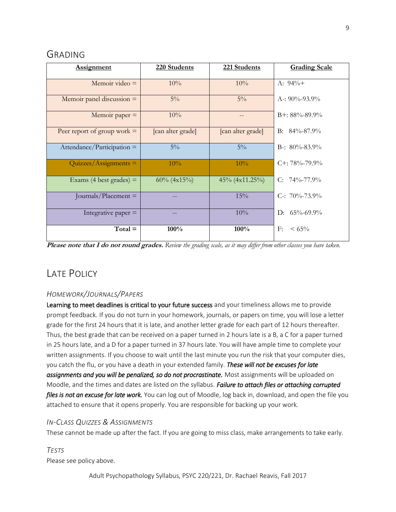## GRADING

| <b>Assignment</b>             | 220 Students      | 221 Students       | <b>Grading Scale</b> |
|-------------------------------|-------------------|--------------------|----------------------|
| Memoir video $=$              | 10%               | 10%                | A: $94\%+$           |
| Memoir panel discussion $=$   | $5\%$             | $5\%$              | A-: $90\% - 93.9\%$  |
| Memoir paper $=$              | 10%               |                    | $B+$ : 88%-89.9%     |
| Peer report of group work $=$ | [can alter grade] | [can alter grade]  | $B: 84\% - 87.9\%$   |
| $Attendance/Participation =$  | $5\%$             | $5\%$              | B-: $80\% - 83.9\%$  |
| $Quizzes/Assigaments =$       | 10%               | 10%                | $C_{+}$ : 78%-79.9%  |
| Exams (4 best grades) $=$     | $60\%$ (4x15%)    | $45\% (4x11.25\%)$ | C: $74\% - 77.9\%$   |
| Journals/Placement $=$        |                   | 15%                | C-: $70\% - 73.9\%$  |
| Integrative paper $=$         |                   | 10%                | D: $65\% - 69.9\%$   |
| $Total =$                     | 100%              | 100%               | F:<br>$< 65\%$       |

**Please note that I do not round grades.** *Review the grading scale, as it may differ from other classes you have taken.*

## LATE POLICY

#### *HOMEWORK/JOURNALS/PAPERS*

Learning to meet deadlines is critical to your future success and your timeliness allows me to provide prompt feedback. If you do not turn in your homework, journals, or papers on time, you will lose a letter grade for the first 24 hours that it is late, and another letter grade for each part of 12 hours thereafter. Thus, the best grade that can be received on a paper turned in 2 hours late is a B, a C for a paper turned in 25 hours late, and a D for a paper turned in 37 hours late. You will have ample time to complete your written assignments. If you choose to wait until the last minute you run the risk that your computer dies, you catch the flu, or you have a death in your extended family. *These will not be excuses for late assignments and you will be penalized, so do not procrastinate.* Most assignments will be uploaded on Moodle, and the times and dates are listed on the syllabus. *Failure to attach files or attaching corrupted files is not an excuse for late work.* You can log out of Moodle, log back in, download, and open the file you attached to ensure that it opens properly. You are responsible for backing up your work.

#### *IN-CLASS QUIZZES & ASSIGNMENTS*

These cannot be made up after the fact. If you are going to miss class, make arrangements to take early.

*TESTS* Please see policy above.

Adult Psychopathology Syllabus, PSYC 220/221, Dr. Rachael Reavis, Fall 2017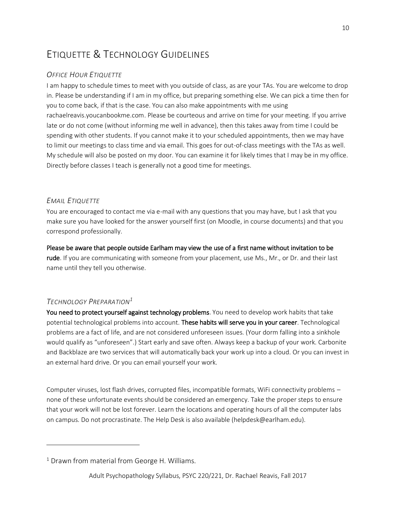## ETIQUETTE & TECHNOLOGY GUIDELINES

#### *OFFICE HOUR ETIQUETTE*

I am happy to schedule times to meet with you outside of class, as are your TAs. You are welcome to drop in. Please be understanding if I am in my office, but preparing something else. We can pick a time then for you to come back, if that is the case. You can also make appointments with me using rachaelreavis.youcanbookme.com. Please be courteous and arrive on time for your meeting. If you arrive late or do not come (without informing me well in advance), then this takes away from time I could be spending with other students. If you cannot make it to your scheduled appointments, then we may have to limit our meetings to class time and via email. This goes for out-of-class meetings with the TAs as well. My schedule will also be posted on my door. You can examine it for likely times that I may be in my office. Directly before classes I teach is generally not a good time for meetings.

#### *EMAIL ETIQUETTE*

You are encouraged to contact me via e-mail with any questions that you may have, but I ask that you make sure you have looked for the answer yourself first (on Moodle, in course documents) and that you correspond professionally.

Please be aware that people outside Earlham may view the use of a first name without invitation to be rude. If you are communicating with someone from your placement, use Ms., Mr., or Dr. and their last name until they tell you otherwise.

#### *TECHNOLOGY PREPARATION<sup>1</sup>*

l

You need to protect yourself against technology problems. You need to develop work habits that take potential technological problems into account. These habits will serve you in your career. Technological problems are a fact of life, and are not considered unforeseen issues. (Your dorm falling into a sinkhole would qualify as "unforeseen".) Start early and save often. Always keep a backup of your work. Carbonite and Backblaze are two services that will automatically back your work up into a cloud. Or you can invest in an external hard drive. Or you can email yourself your work.

Computer viruses, lost flash drives, corrupted files, incompatible formats, WiFi connectivity problems – none of these unfortunate events should be considered an emergency. Take the proper steps to ensure that your work will not be lost forever. Learn the locations and operating hours of all the computer labs on campus. Do not procrastinate. The Help Desk is also available (helpdesk@earlham.edu).

 $1$  Drawn from material from George H. Williams.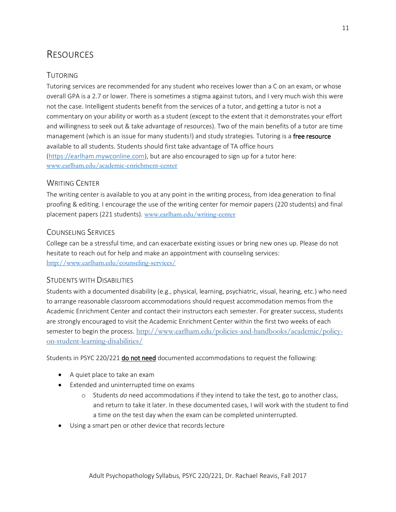## RESOURCES

#### TUTORING

Tutoring services are recommended for any student who receives lower than a C on an exam, or whose overall GPA is a 2.7 or lower. There is sometimes a stigma against tutors, and I very much wish this were not the case. Intelligent students benefit from the services of a tutor, and getting a tutor is not a commentary on your ability or worth as a student (except to the extent that it demonstrates your effort and willingness to seek out & take advantage of resources). Two of the main benefits of a tutor are time management (which is an issue for many students!) and study strategies. Tutoring is a free resource available to all students. Students should first take advantage of TA office hours [\(https://earlham.mywconline.com\)](https://earlham.mywconline.com/), but are also encouraged to sign up for a tutor here: [www.earlham.edu/academic-enrichment-center](http://www.earlham.edu/academic-enrichment-center)

#### WRITING CENTER

The writing center is available to you at any point in the writing process, from idea generation to final proofing & editing. I encourage the use of the writing center for memoir papers (220 students) and final placement papers (221 students). [www.earlham.edu/writing-center](http://www.earlham.edu/writing-center)

#### COUNSELING SERVICES

College can be a stressful time, and can exacerbate existing issues or bring new ones up. Please do not hesitate to reach out for help and make an appointment with counseling services: <http://www.earlham.edu/counseling-services/>

#### STUDENTS WITH DISABILITIES

Students with a documented disability (e.g., physical, learning, psychiatric, visual, hearing, etc.) who need to arrange reasonable classroom accommodations should request accommodation memos from the Academic Enrichment Center and contact their instructors each semester. For greater success, students are strongly encouraged to visit the Academic Enrichment Center within the first two weeks of each semester to begin the process. [http://www.earlham.edu/policies-and-handbooks/academic/policy](http://www.earlham.edu/policies-and-handbooks/academic/policy-on-student-learning-disabilities/)[on-student-learning-disabilities/](http://www.earlham.edu/policies-and-handbooks/academic/policy-on-student-learning-disabilities/)

Students in PSYC 220/221 **do not need** documented accommodations to request the following:

- A quiet place to take an exam
- Extended and uninterrupted time on exams
	- o Students *do* need accommodations if they intend to take the test, go to another class, and return to take it later. In these documented cases, I will work with the student to find a time on the test day when the exam can be completed uninterrupted.
- Using a smart pen or other device that records lecture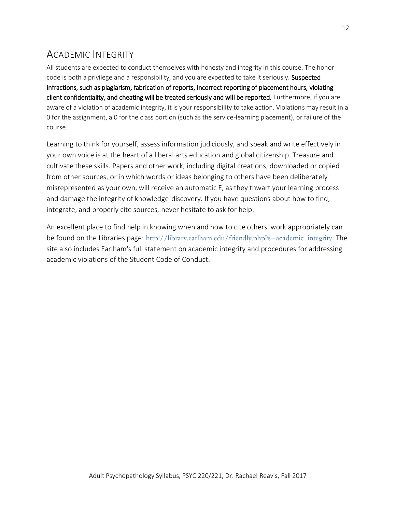## ACADEMIC INTEGRITY

All students are expected to conduct themselves with honesty and integrity in this course. The honor code is both a privilege and a responsibility, and you are expected to take it seriously. Suspected infractions, such as plagiarism, fabrication of reports, incorrect reporting of placement hours, violating client confidentiality, and cheating will be treated seriously and will be reported. Furthermore, if you are aware of a violation of academic integrity, it is your responsibility to take action. Violations may result in a 0 for the assignment, a 0 for the class portion (such as the service-learning placement), or failure of the course.

Learning to think for yourself, assess information judiciously, and speak and write effectively in your own voice is at the heart of a liberal arts education and global citizenship. Treasure and cultivate these skills. Papers and other work, including digital creations, downloaded or copied from other sources, or in which words or ideas belonging to others have been deliberately misrepresented as your own, will receive an automatic F, as they thwart your learning process and damage the integrity of knowledge-discovery. If you have questions about how to find, integrate, and properly cite sources, never hesitate to ask for help.

An excellent place to find help in knowing when and how to cite others' work appropriately can be found on the Libraries page: [http://library.earlham.edu/friendly.php?s=academic\\_integrity](http://library.earlham.edu/friendly.php?s=academic_integrity). The site also includes Earlham's full statement on academic integrity and procedures for addressing academic violations of the Student Code of Conduct.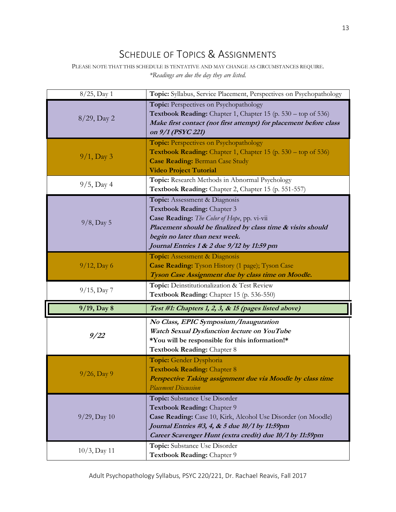## SCHEDULE OF TOPICS & ASSIGNMENTS

PLEASE NOTE THAT THIS SCHEDULE IS TENTATIVE AND MAY CHANGE AS CIRCUMSTANCES REQUIRE. *\*Readings are due the day they are listed.*

| 8/25, Day 1     | Topic: Syllabus, Service Placement, Perspectives on Psychopathology                                                                                                                                                                                        |
|-----------------|------------------------------------------------------------------------------------------------------------------------------------------------------------------------------------------------------------------------------------------------------------|
| $8/29$ , Day 2  | Topic: Perspectives on Psychopathology<br>Textbook Reading: Chapter 1, Chapter 15 (p. 530 – top of 536)<br>Make first contact (not first attempt) for placement before class<br>on 9/1 (PSYC 221)                                                          |
| $9/1$ , Day 3   | <b>Topic:</b> Perspectives on Psychopathology<br>Textbook Reading: Chapter 1, Chapter 15 (p. 530 – top of 536)<br><b>Case Reading: Berman Case Study</b><br><b>Video Project Tutorial</b>                                                                  |
| $9/5$ , Day 4   | Topic: Research Methods in Abnormal Psychology<br>Textbook Reading: Chapter 2, Chapter 15 (p. 551-557)                                                                                                                                                     |
| $9/8$ , Day 5   | Topic: Assessment & Diagnosis<br>Textbook Reading: Chapter 3<br>Case Reading: The Color of Hope, pp. vi-vii<br>Placement should be finalized by class time & visits should<br>begin no later than next week.<br>Journal Entries 1 & 2 due 9/12 by 11:59 pm |
| $9/12$ , Day 6  | <b>Topic:</b> Assessment & Diagnosis<br>Case Reading: Tyson History (1 page); Tyson Case                                                                                                                                                                   |
|                 | Tyson Case Assignment due by class time on Moodle.                                                                                                                                                                                                         |
| $9/15$ , Day 7  | Topic: Deinstitutionalization & Test Review<br>Textbook Reading: Chapter 15 (p. 536-550)                                                                                                                                                                   |
| 9/19, Day 8     | Test #1: Chapters 1, 2, 3, & 15 (pages listed above)                                                                                                                                                                                                       |
| 9/22            | No Class, EPIC Symposium/Inauguration<br>Watch Sexual Dysfunction lecture on YouTube<br>*You will be responsible for this information!*<br>Textbook Reading: Chapter 8                                                                                     |
| $9/26$ , Day 9  | Topic: Gender Dysphoria<br><b>Textbook Reading: Chapter 8</b><br>Perspective Taking assignment due via Moodle by class time<br><b>Placement Discussion</b>                                                                                                 |
| $9/29$ , Day 10 | Topic: Substance Use Disorder<br>Textbook Reading: Chapter 9<br>Case Reading: Case 10, Kirk, Alcohol Use Disorder (on Moodle)<br>Journal Entries #3, 4, & 5 due 10/1 by 11:59pm<br>Career Scavenger Hunt (extra credit) due 10/1 by 11:59pm                |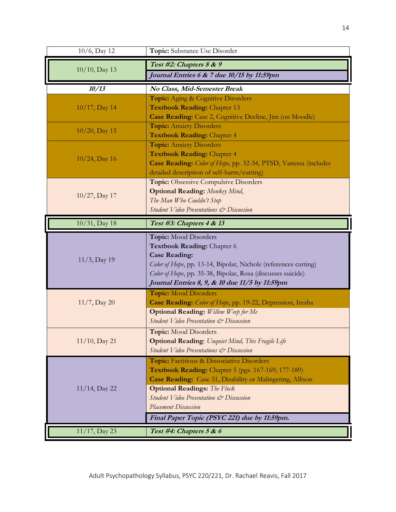| 10/6, Day 12     | Topic: Substance Use Disorder                                                                        |
|------------------|------------------------------------------------------------------------------------------------------|
| 10/10, Day 13    | Test #2: Chapters 8 & 9                                                                              |
|                  | Journal Entries 6 & 7 due 10/15 by 11:59pm                                                           |
| 10/13            | No Class, Mid-Semester Break                                                                         |
|                  | Topic: Aging & Cognitive Disorders                                                                   |
| $10/17$ , Day 14 | <b>Textbook Reading: Chapter 13</b><br>Case Reading: Case 2, Cognitive Decline, Jim (on Moodle)      |
|                  | <b>Topic:</b> Anxiety Disorders                                                                      |
| $10/20$ , Day 15 | <b>Textbook Reading: Chapter 4</b>                                                                   |
|                  | <b>Topic:</b> Anxiety Disorders                                                                      |
| $10/24$ , Day 16 | <b>Textbook Reading: Chapter 4</b>                                                                   |
|                  | Case Reading: Color of Hope, pp. 32-34, PTSD, Vanessa (includes                                      |
|                  | detailed description of self-harm/cutting)                                                           |
|                  | <b>Topic:</b> Obsessive Compulsive Disorders<br><b>Optional Reading:</b> Monkey Mind,                |
| 10/27, Day 17    | The Man Who Couldn't Stop                                                                            |
|                  | Student Video Presentations & Discussion                                                             |
| 10/31, Day 18    | Test #3: Chapters 4 & 13                                                                             |
|                  |                                                                                                      |
|                  | Topic: Mood Disorders<br>Textbook Reading: Chapter 6                                                 |
|                  | <b>Case Reading:</b>                                                                                 |
| $11/3$ , Day 19  | Color of Hope, pp. 13-14, Bipolar, Nichole (references cutting)                                      |
|                  |                                                                                                      |
|                  | Color of Hope, pp. 35-38, Bipolar, Rosa (discusses suicide)                                          |
|                  | Journal Entries 8, 9, & 10 due 11/5 by 11:59pm                                                       |
|                  | <b>Topic:</b> Mood Disorders                                                                         |
| $11/7$ , Day 20  | Case Reading: Color of Hope, pp. 19-22, Depression, Iresha                                           |
|                  | <b>Optional Reading:</b> Willow Weep for Me                                                          |
|                  | Student Video Presentation & Discussion                                                              |
|                  | <b>Topic:</b> Mood Disorders                                                                         |
| 11/10, Day 21    | <b>Optional Reading:</b> Unquiet Mind, This Fragile Life<br>Student Video Presentations & Discussion |
|                  | Topic: Factitious & Dissociative Disorders                                                           |
|                  | <b>Textbook Reading:</b> Chapter 5 (pgs. 167-169; 177-189)                                           |
|                  | Case Reading: Case 31, Disability or Malingering, Allison                                            |
| 11/14, Day 22    | <b>Optional Readings:</b> The Flock                                                                  |
|                  | Student Video Presentation & Discussion                                                              |
|                  | <b>Placement Discussion</b>                                                                          |
| 11/17, Day 23    | Final Paper Topic (PSYC 221) due by 11:59pm.<br>Test #4: Chapters 5 & 6                              |